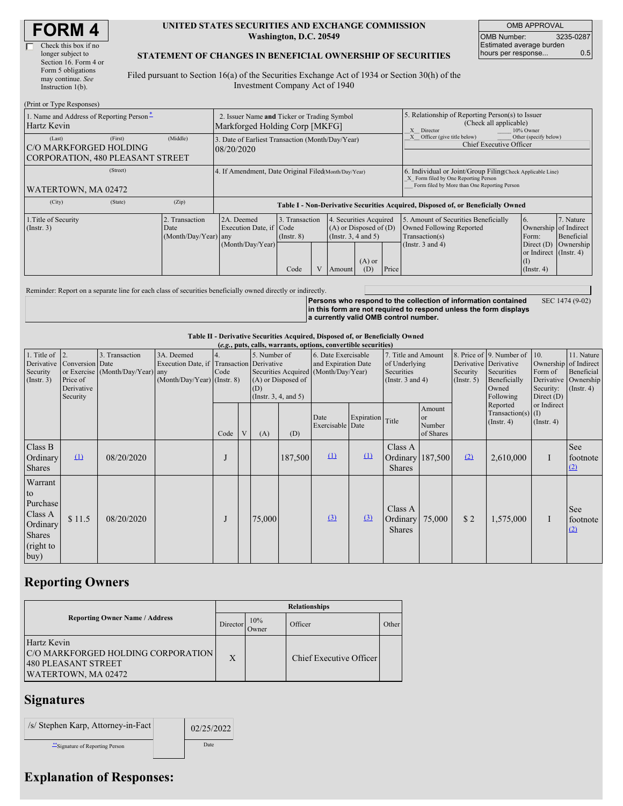#### **UNITED STATES SECURITIES AND EXCHANGE COMMISSION Washington, D.C. 20549**

OMB APPROVAL OMB Number: 3235-0287 Estimated average burden hours per response... 0.5

#### **STATEMENT OF CHANGES IN BENEFICIAL OWNERSHIP OF SECURITIES**

Filed pursuant to Section 16(a) of the Securities Exchange Act of 1934 or Section 30(h) of the Investment Company Act of 1940

| (Print or Type Responses)                                                   |         |                                                                                  |                                                                |                                           |  |                                                                                                                        |  |                                                                                                                                                    |                                                                                                             |                                                                                                                    |                                      |
|-----------------------------------------------------------------------------|---------|----------------------------------------------------------------------------------|----------------------------------------------------------------|-------------------------------------------|--|------------------------------------------------------------------------------------------------------------------------|--|----------------------------------------------------------------------------------------------------------------------------------------------------|-------------------------------------------------------------------------------------------------------------|--------------------------------------------------------------------------------------------------------------------|--------------------------------------|
| 1. Name and Address of Reporting Person-<br>Hartz Kevin                     |         | 2. Issuer Name and Ticker or Trading Symbol<br>Markforged Holding Corp [MKFG]    |                                                                |                                           |  |                                                                                                                        |  | 5. Relationship of Reporting Person(s) to Issuer<br>(Check all applicable)<br>X Director<br>10% Owner                                              |                                                                                                             |                                                                                                                    |                                      |
| (Last)<br>C/O MARKFORGED HOLDING<br><b>CORPORATION, 480 PLEASANT STREET</b> | (First) | (Middle)                                                                         | 3. Date of Earliest Transaction (Month/Day/Year)<br>08/20/2020 |                                           |  |                                                                                                                        |  | Officer (give title below)<br>Other (specify below)<br><b>Chief Executive Officer</b>                                                              |                                                                                                             |                                                                                                                    |                                      |
| WATERTOWN, MA 02472                                                         |         | 4. If Amendment, Date Original Filed (Month/Day/Year)                            |                                                                |                                           |  |                                                                                                                        |  | 6. Individual or Joint/Group Filing(Check Applicable Line)<br>X Form filed by One Reporting Person<br>Form filed by More than One Reporting Person |                                                                                                             |                                                                                                                    |                                      |
| (City)                                                                      | (Zip)   | Table I - Non-Derivative Securities Acquired, Disposed of, or Beneficially Owned |                                                                |                                           |  |                                                                                                                        |  |                                                                                                                                                    |                                                                                                             |                                                                                                                    |                                      |
| 1. Title of Security<br>$($ Instr. 3 $)$                                    |         | 2. Transaction<br>Date<br>(Month/Day/Year) any                                   | 2A. Deemed<br>Execution Date, if Code<br>(Month/Day/Year)      | 3. Transaction<br>$($ Instr. $8)$<br>Code |  | 4. Securities Acquired<br>$(A)$ or Disposed of $(D)$<br>(Instr. $3, 4$ and $5$ )<br>$(A)$ or<br>(D)<br>Price<br>Amount |  |                                                                                                                                                    | 5. Amount of Securities Beneficially<br>Owned Following Reported<br>Transaction(s)<br>(Instr. $3$ and $4$ ) | 6.<br>Ownership of Indirect<br>Form:<br>Direct $(D)$<br>or Indirect (Instr. 4)<br>$($ $\Gamma$<br>$($ Instr. 4 $)$ | 7. Nature<br>Beneficial<br>Ownership |

Reminder: Report on a separate line for each class of securities beneficially owned directly or indirectly.

**Persons who respond to the collection of information contained in this form are not required to respond unless the form displays a currently valid OMB control number.** SEC 1474 (9-02)

**Table II - Derivative Securities Acquired, Disposed of, or Beneficially Owned**

| (e.g., puts, calls, warrants, options, convertible securities)                  |                                                       |                                                    |                                                                                        |            |   |                                                                                                                |         |                                            |                  |                                                                             |                                                |                                                  |                                                                              |                                                                                     |                                                                      |
|---------------------------------------------------------------------------------|-------------------------------------------------------|----------------------------------------------------|----------------------------------------------------------------------------------------|------------|---|----------------------------------------------------------------------------------------------------------------|---------|--------------------------------------------|------------------|-----------------------------------------------------------------------------|------------------------------------------------|--------------------------------------------------|------------------------------------------------------------------------------|-------------------------------------------------------------------------------------|----------------------------------------------------------------------|
| 1. Title of $\vert$ 2.<br>Derivative<br>Security<br>(Insert. 3)                 | Conversion Date<br>Price of<br>Derivative<br>Security | 3. Transaction<br>or Exercise (Month/Day/Year) any | 3A. Deemed<br>Execution Date, if Transaction Derivative<br>(Month/Day/Year) (Instr. 8) | 4.<br>Code |   | 5. Number of<br>Securities Acquired (Month/Day/Year)<br>(A) or Disposed of<br>(D)<br>(Instr. $3, 4,$ and $5$ ) |         | 6. Date Exercisable<br>and Expiration Date |                  | 7. Title and Amount<br>of Underlying<br>Securities<br>(Instr. $3$ and $4$ ) |                                                | Derivative Derivative<br>Security<br>(Insert. 5) | 8. Price of 9. Number of<br>Securities<br>Beneficially<br>Owned<br>Following | 10.<br>Ownership of Indirect<br>Form of<br>Security:<br>Direct $(D)$<br>or Indirect | 11. Nature<br>Beneficial<br>Derivative Ownership<br>$($ Instr. 4 $)$ |
|                                                                                 |                                                       |                                                    |                                                                                        | Code       | V | (A)                                                                                                            | (D)     | Date<br>Exercisable Date                   | Expiration Title |                                                                             | Amount<br><sub>or</sub><br>Number<br>of Shares |                                                  | Reported<br>Transaction(s) $(I)$<br>$($ Instr. 4 $)$<br>$($ Instr. 4 $)$     |                                                                                     |                                                                      |
| Class B<br>Ordinary<br><b>Shares</b>                                            | $\mathbf{u}$                                          | 08/20/2020                                         |                                                                                        |            |   |                                                                                                                | 187,500 | $\Omega$                                   | $\Omega$         | Class A<br>Ordinary 187,500<br><b>Shares</b>                                |                                                | (2)                                              | 2,610,000                                                                    | $\bf{l}$                                                                            | See<br>footnote<br>(2)                                               |
| Warrant<br>to<br>Purchase<br>Class A<br>Ordinary<br>Shares<br>(right to<br>buy) | \$11.5                                                | 08/20/2020                                         |                                                                                        |            |   | 75,000                                                                                                         |         | (3)                                        | (3)              | Class A<br>Ordinary<br><b>Shares</b>                                        | 75,000                                         | \$2                                              | 1,575,000                                                                    | $\bf{I}$                                                                            | See<br>footnote<br>(2)                                               |

# **Reporting Owners**

|                                                                                                 | <b>Relationships</b> |              |                         |       |  |  |  |  |
|-------------------------------------------------------------------------------------------------|----------------------|--------------|-------------------------|-------|--|--|--|--|
| <b>Reporting Owner Name / Address</b>                                                           | Director             | 10%<br>Dwner | Officer                 | Other |  |  |  |  |
| Hartz Kevin<br>C/O MARKFORGED HOLDING CORPORATION<br>480 PLEASANT STREET<br>WATERTOWN, MA 02472 | X                    |              | Chief Executive Officer |       |  |  |  |  |

### **Signatures**

| /s/ Stephen Karp, Attorney-in-Fact | 02/25/2022 |
|------------------------------------|------------|
| "Signature of Reporting Person     | Date       |

# **Explanation of Responses:**